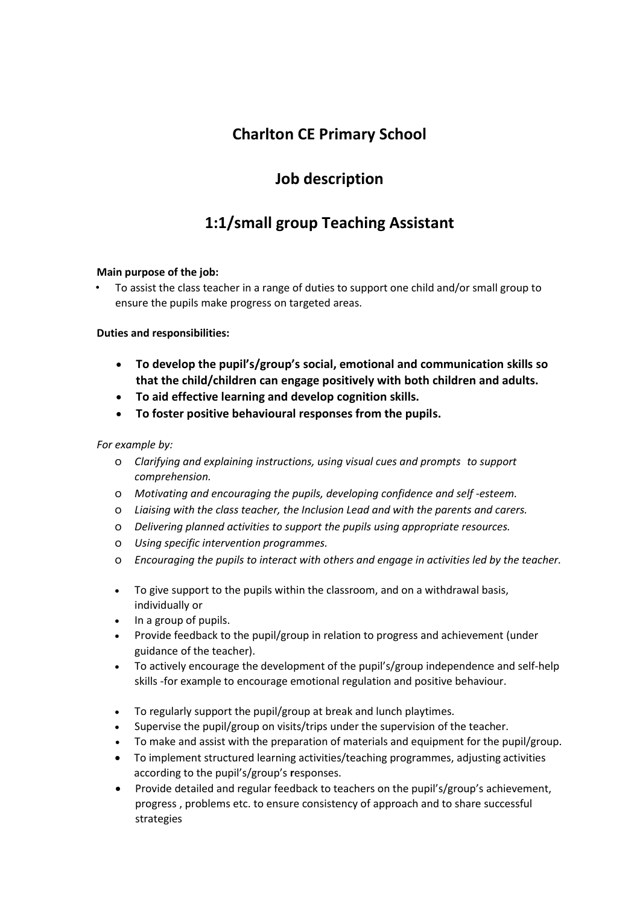## **Charlton CE Primary School**

## **Job description**

# **1:1/small group Teaching Assistant**

### **Main purpose of the job:**

• To assist the class teacher in a range of duties to support one child and/or small group to ensure the pupils make progress on targeted areas.

### **Duties and responsibilities:**

- **To develop the pupil's/group's social, emotional and communication skills so that the child/children can engage positively with both children and adults.**
- **To aid effective learning and develop cognition skills.**
- **To foster positive behavioural responses from the pupils.**

### *For example by:*

- o *Clarifying and explaining instructions, using visual cues and prompts to support comprehension.*
- o *Motivating and encouraging the pupils, developing confidence and self -esteem.*
- o *Liaising with the class teacher, the Inclusion Lead and with the parents and carers.*
- o *Delivering planned activities to support the pupils using appropriate resources.*
- o *Using specific intervention programmes.*
- o *Encouraging the pupils to interact with others and engage in activities led by the teacher.*
- To give support to the pupils within the classroom, and on a withdrawal basis, individually or
- In a group of pupils.
- Provide feedback to the pupil/group in relation to progress and achievement (under guidance of the teacher).
- To actively encourage the development of the pupil's/group independence and self-help skills -for example to encourage emotional regulation and positive behaviour.
- To regularly support the pupil/group at break and lunch playtimes.
- Supervise the pupil/group on visits/trips under the supervision of the teacher.
- To make and assist with the preparation of materials and equipment for the pupil/group.
- To implement structured learning activities/teaching programmes, adjusting activities according to the pupil's/group's **r**esponses.
- Provide detailed and regular feedback to teachers on the pupil's/group's achievement, progress , problems etc. to ensure consistency of approach and to share successful strategies